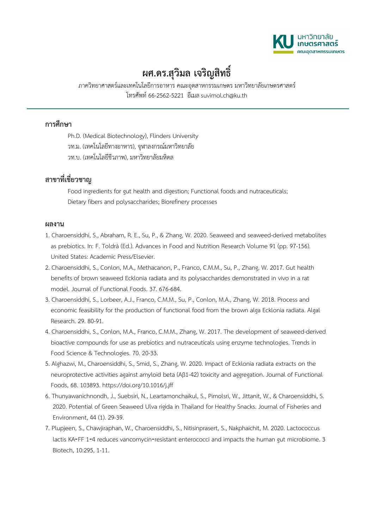

## **ผศ.ดร.สุวิมล เจริญสิทธิ์**

ภาควิทยาศาสตรและเทคโนโลยีการอาหาร คณะอุตสาหกรรมเกษตร มหาวิทยาลัยเกษตรศาสตร โทรศัพท 66-2562-5221 อีเมลsuvimol.ch@ku.th

## **การศึกษา**

Ph.D. (Medical Biotechnology), Flinders University วท.ม. (เทคโนโลยีทางอาหาร), จุฬาลงกรณมหาวิทยาลัย วท.บ. (เทคโนโลยีชีวภาพ), มหาวิทยาลัยมหิดล

## **สาขาที่เชี่ยวชาญ**

Food ingredients for gut health and digestion; Functional foods and nutraceuticals; Dietary fibers and polysaccharides; Biorefinery processes

## **ผลงาน**

- 1. Charoensiddhi, S., Abraham, R. E., Su, P., & Zhang, W. 2020. Seaweed and seaweed-derived metabolites as prebiotics. In: F. Toldrá (Ed.). Advances in Food and Nutrition Research Volume 91 (pp. 97-156). United States: Academic Press/Elsevier.
- 2. Charoensiddhi, S., Conlon, M.A., Methacanon, P., Franco, C.M.M., Su, P., Zhang, W. 2017. Gut health benefits of brown seaweed Ecklonia radiata and its polysaccharides demonstrated in vivo in a rat model. Journal of Functional Foods. 37. 676-684.
- 3. Charoensiddhi, S., Lorbeer, A.J., Franco, C.M.M., Su, P., Conlon, M.A., Zhang, W. 2018. Process and economic feasibility for the production of functional food from the brown alga Ecklonia radiata. Algal Research. 29. 80-91.
- 4. Charoensiddhi, S., Conlon, M.A., Franco, C.M.M., Zhang, W. 2017. The development of seaweed-derived bioactive compounds for use as prebiotics and nutraceuticals using enzyme technologies. Trends in Food Science & Technologies. 70. 20-33.
- 5. Alghazwi, M., Charoensiddhi, S., Smid, S., Zhang, W. 2020. Impact of Ecklonia radiata extracts on the neuroprotective activities against amyloid beta (Aß1-42) toxicity and aggregation. Journal of Functional Foods, 68. 103893. https://doi.org/10.1016/j.jff
- 6. Thunyawanichnondh, J., Suebsiri, N., Leartamonchaikul, S., Pimolsri, W., Jittanit, W., & Charoensiddhi, S. 2020. Potential of Green Seaweed Ulva rigida in Thailand for Healthy Snacks. Journal of Fisheries and Environment, 44 (1). 29-39.
- 7. Plupjeen, S., Chawjiraphan, W., Charoensiddhi, S., Nitisinprasert, S., Nakphaichit, M. 2020. Lactococcus lactis KA-FF 1-4 reduces vancomycin-resistant enterococci and impacts the human gut microbiome. 3 Biotech, 10:295, 1-11.